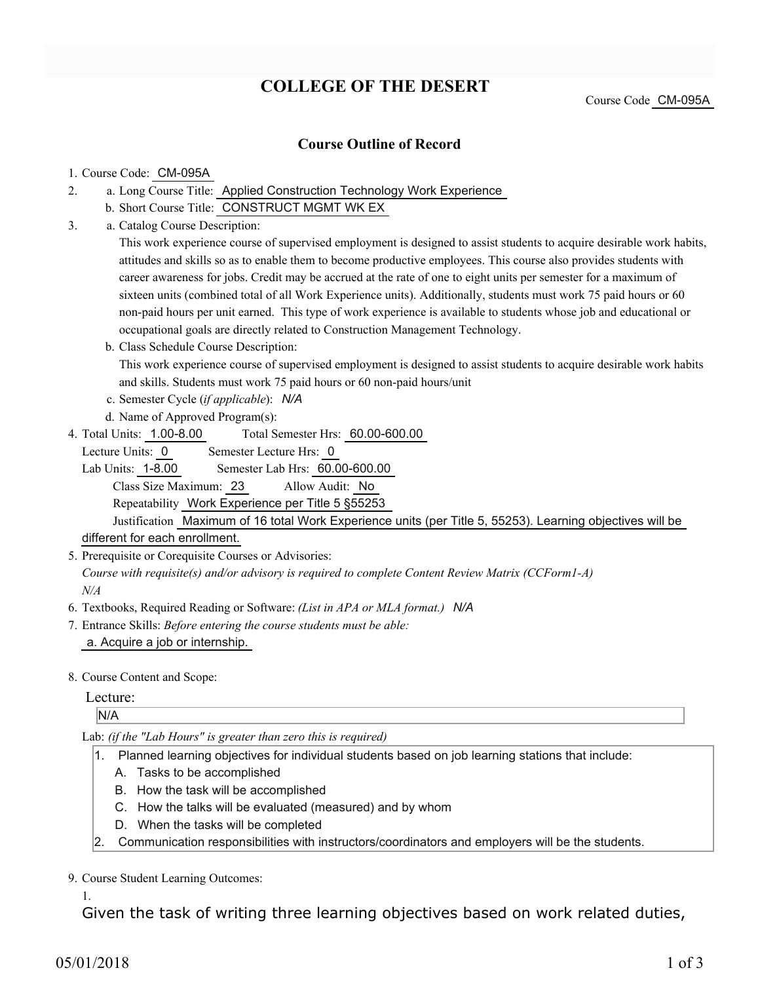# **COLLEGE OF THE DESERT**

## **Course Outline of Record**

#### 1. Course Code: CM-095A

- a. Long Course Title: Applied Construction Technology Work Experience 2.
	- b. Short Course Title: CONSTRUCT MGMT WK EX
- Catalog Course Description: a. 3.

This work experience course of supervised employment is designed to assist students to acquire desirable work habits, attitudes and skills so as to enable them to become productive employees. This course also provides students with career awareness for jobs. Credit may be accrued at the rate of one to eight units per semester for a maximum of sixteen units (combined total of all Work Experience units). Additionally, students must work 75 paid hours or 60 non-paid hours per unit earned. This type of work experience is available to students whose job and educational or occupational goals are directly related to Construction Management Technology.

- b. Class Schedule Course Description: This work experience course of supervised employment is designed to assist students to acquire desirable work habits and skills. Students must work 75 paid hours or 60 non-paid hours/unit
- c. Semester Cycle (*if applicable*): *N/A*
- d. Name of Approved Program(s):
- Total Semester Hrs: 60.00-600.00 4. Total Units: 1.00-8.00

Lecture Units: 0 Semester Lecture Hrs: 0

Lab Units: 1-8.00 Semester Lab Hrs: 60.00-600.00 Class Size Maximum: 23 Allow Audit: No

Repeatability Work Experience per Title 5 §55253

Justification Maximum of 16 total Work Experience units (per Title 5, 55253). Learning objectives will be different for each enrollment.

5. Prerequisite or Corequisite Courses or Advisories:

*Course with requisite(s) and/or advisory is required to complete Content Review Matrix (CCForm1-A) N/A*

- 6. Textbooks, Required Reading or Software: *(List in APA or MLA format.) N/A*
- Entrance Skills: *Before entering the course students must be able:* 7. a. Acquire a job or internship.
- 8. Course Content and Scope:

#### Lecture:

N/A

Lab: *(if the "Lab Hours" is greater than zero this is required)*

- 1. Planned learning objectives for individual students based on job learning stations that include:
	- A. Tasks to be accomplished
	- B. How the task will be accomplished
	- C. How the talks will be evaluated (measured) and by whom
	- D. When the tasks will be completed
- 2. Communication responsibilities with instructors/coordinators and employers will be the students.

9. Course Student Learning Outcomes:

1.

Given the task of writing three learning objectives based on work related duties,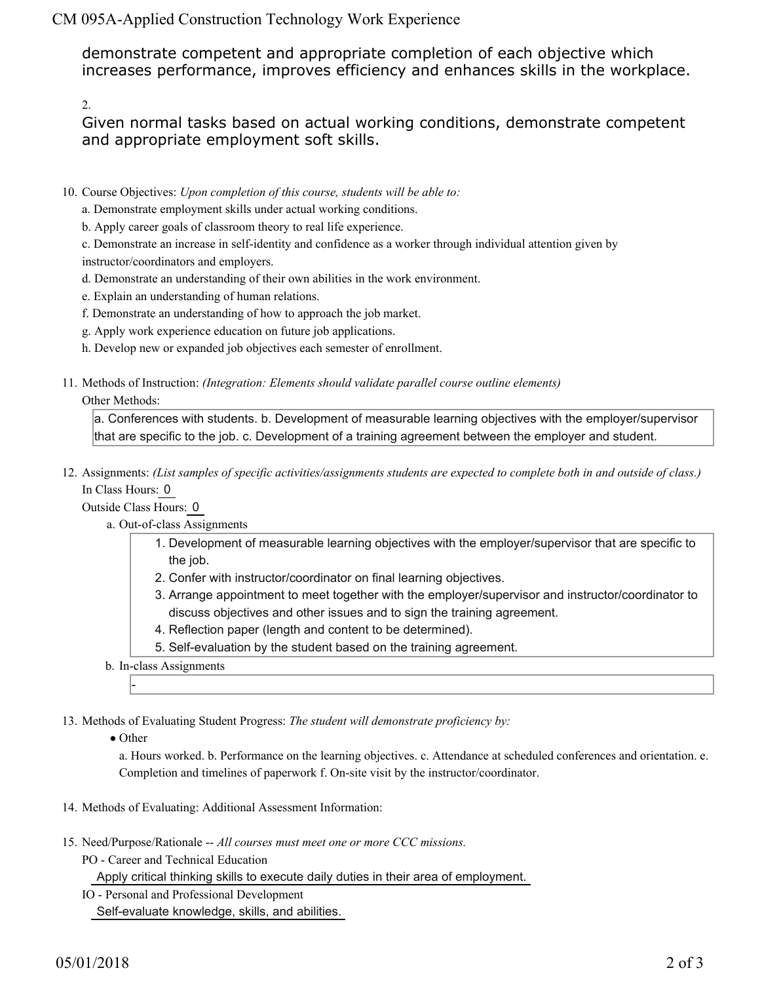CM 095A-Applied Construction Technology Work Experience

demonstrate competent and appropriate completion of each objective which increases performance, improves efficiency and enhances skills in the workplace.

2.

Given normal tasks based on actual working conditions, demonstrate competent and appropriate employment soft skills.

- 10. Course Objectives: Upon completion of this course, students will be able to:
	- a. Demonstrate employment skills under actual working conditions.
	- b. Apply career goals of classroom theory to real life experience.

c. Demonstrate an increase in self-identity and confidence as a worker through individual attention given by instructor/coordinators and employers.

- d. Demonstrate an understanding of their own abilities in the work environment.
- e. Explain an understanding of human relations.
- f. Demonstrate an understanding of how to approach the job market.
- g. Apply work experience education on future job applications.
- h. Develop new or expanded job objectives each semester of enrollment.
- Methods of Instruction: *(Integration: Elements should validate parallel course outline elements)* 11.

### Other Methods:

a. Conferences with students. b. Development of measurable learning objectives with the employer/supervisor that are specific to the job. c. Development of a training agreement between the employer and student.

12. Assignments: (List samples of specific activities/assignments students are expected to complete both in and outside of class.) In Class Hours: 0

Outside Class Hours: 0

- a. Out-of-class Assignments
	- 1. Development of measurable learning objectives with the employer/supervisor that are specific to the job.
	- 2. Confer with instructor/coordinator on final learning objectives.
	- Arrange appointment to meet together with the employer/supervisor and instructor/coordinator to 3. discuss objectives and other issues and to sign the training agreement.
	- 4. Reflection paper (length and content to be determined).
	- 5. Self-evaluation by the student based on the training agreement.
- b. In-class Assignments

13. Methods of Evaluating Student Progress: The student will demonstrate proficiency by:

• Other

-

a. Hours worked. b. Performance on the learning objectives. c. Attendance at scheduled conferences and orientation. e. Completion and timelines of paperwork f. On-site visit by the instructor/coordinator.

- 14. Methods of Evaluating: Additional Assessment Information:
- 15. Need/Purpose/Rationale -- All courses must meet one or more CCC missions.
	- PO Career and Technical Education

Apply critical thinking skills to execute daily duties in their area of employment.

- IO Personal and Professional Development
	- Self-evaluate knowledge, skills, and abilities.